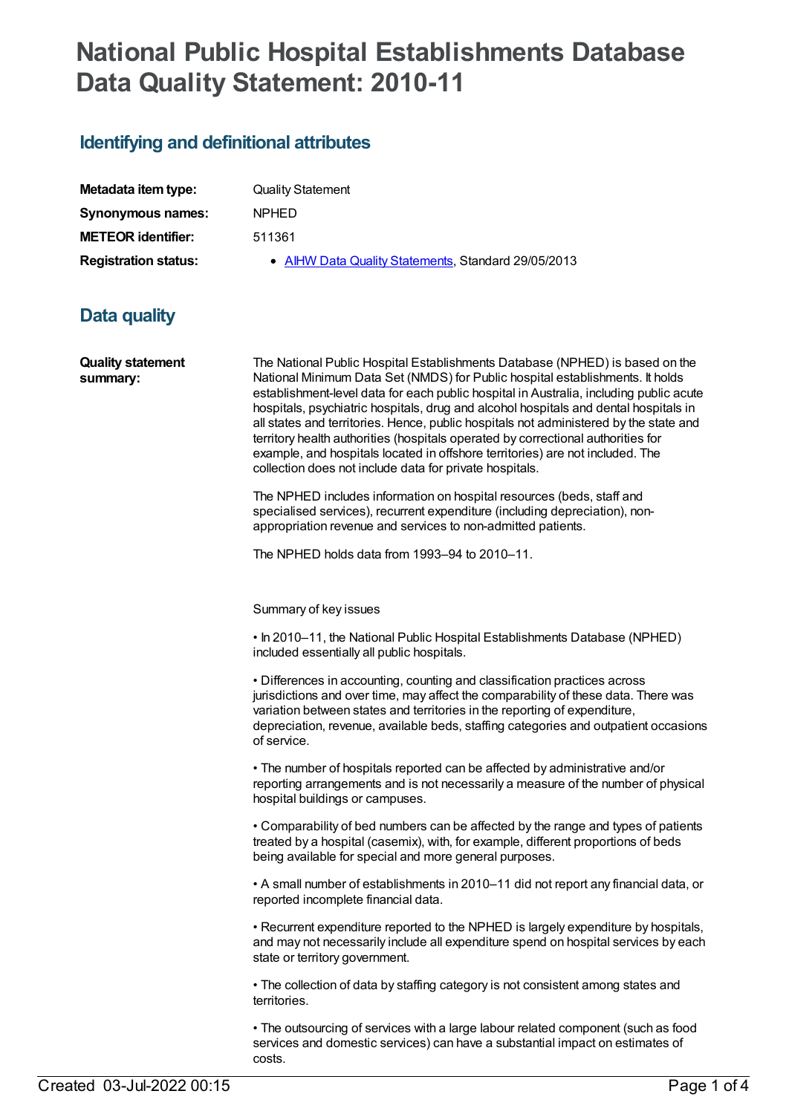## **National Public Hospital Establishments Database Data Quality Statement: 2010-11**

## **Identifying and definitional attributes**

| Metadata item type:         |   |
|-----------------------------|---|
| Synonymous names:           | ľ |
| <b>METEOR identifier:</b>   |   |
| <b>Registration status:</b> |   |

**Quality Statement Synonymous names:** NPHED

**METEOR identifier:** 511361

**• AIHW Data Quality [Statements](https://meteor.aihw.gov.au/RegistrationAuthority/5), Standard 29/05/2013** 

## **Data quality**

| <b>Quality statement</b><br>summary: | The National Public Hospital Establishments Database (NPHED) is based on the<br>National Minimum Data Set (NMDS) for Public hospital establishments. It holds<br>establishment-level data for each public hospital in Australia, including public acute<br>hospitals, psychiatric hospitals, drug and alcohol hospitals and dental hospitals in<br>all states and territories. Hence, public hospitals not administered by the state and<br>territory health authorities (hospitals operated by correctional authorities for<br>example, and hospitals located in offshore territories) are not included. The<br>collection does not include data for private hospitals. |
|--------------------------------------|--------------------------------------------------------------------------------------------------------------------------------------------------------------------------------------------------------------------------------------------------------------------------------------------------------------------------------------------------------------------------------------------------------------------------------------------------------------------------------------------------------------------------------------------------------------------------------------------------------------------------------------------------------------------------|
|                                      | The NPHED includes information on hospital resources (beds, staff and<br>specialised services), recurrent expenditure (including depreciation), non-<br>appropriation revenue and services to non-admitted patients.                                                                                                                                                                                                                                                                                                                                                                                                                                                     |
|                                      | The NPHED holds data from 1993-94 to 2010-11.                                                                                                                                                                                                                                                                                                                                                                                                                                                                                                                                                                                                                            |
|                                      | Summary of key issues                                                                                                                                                                                                                                                                                                                                                                                                                                                                                                                                                                                                                                                    |
|                                      | . In 2010-11, the National Public Hospital Establishments Database (NPHED)<br>included essentially all public hospitals.                                                                                                                                                                                                                                                                                                                                                                                                                                                                                                                                                 |
|                                      | • Differences in accounting, counting and classification practices across<br>jurisdictions and over time, may affect the comparability of these data. There was<br>variation between states and territories in the reporting of expenditure,<br>depreciation, revenue, available beds, staffing categories and outpatient occasions<br>of service.                                                                                                                                                                                                                                                                                                                       |
|                                      | • The number of hospitals reported can be affected by administrative and/or<br>reporting arrangements and is not necessarily a measure of the number of physical<br>hospital buildings or campuses.                                                                                                                                                                                                                                                                                                                                                                                                                                                                      |
|                                      | • Comparability of bed numbers can be affected by the range and types of patients<br>treated by a hospital (casemix), with, for example, different proportions of beds<br>being available for special and more general purposes.                                                                                                                                                                                                                                                                                                                                                                                                                                         |
|                                      | • A small number of establishments in 2010–11 did not report any financial data, or<br>reported incomplete financial data.                                                                                                                                                                                                                                                                                                                                                                                                                                                                                                                                               |
|                                      | • Recurrent expenditure reported to the NPHED is largely expenditure by hospitals,<br>and may not necessarily include all expenditure spend on hospital services by each<br>state or territory government.                                                                                                                                                                                                                                                                                                                                                                                                                                                               |
|                                      | • The collection of data by staffing category is not consistent among states and<br>territories.                                                                                                                                                                                                                                                                                                                                                                                                                                                                                                                                                                         |
|                                      | • The outsourcing of services with a large labour related component (such as food<br>services and domestic services) can have a substantial impact on estimates of                                                                                                                                                                                                                                                                                                                                                                                                                                                                                                       |

costs.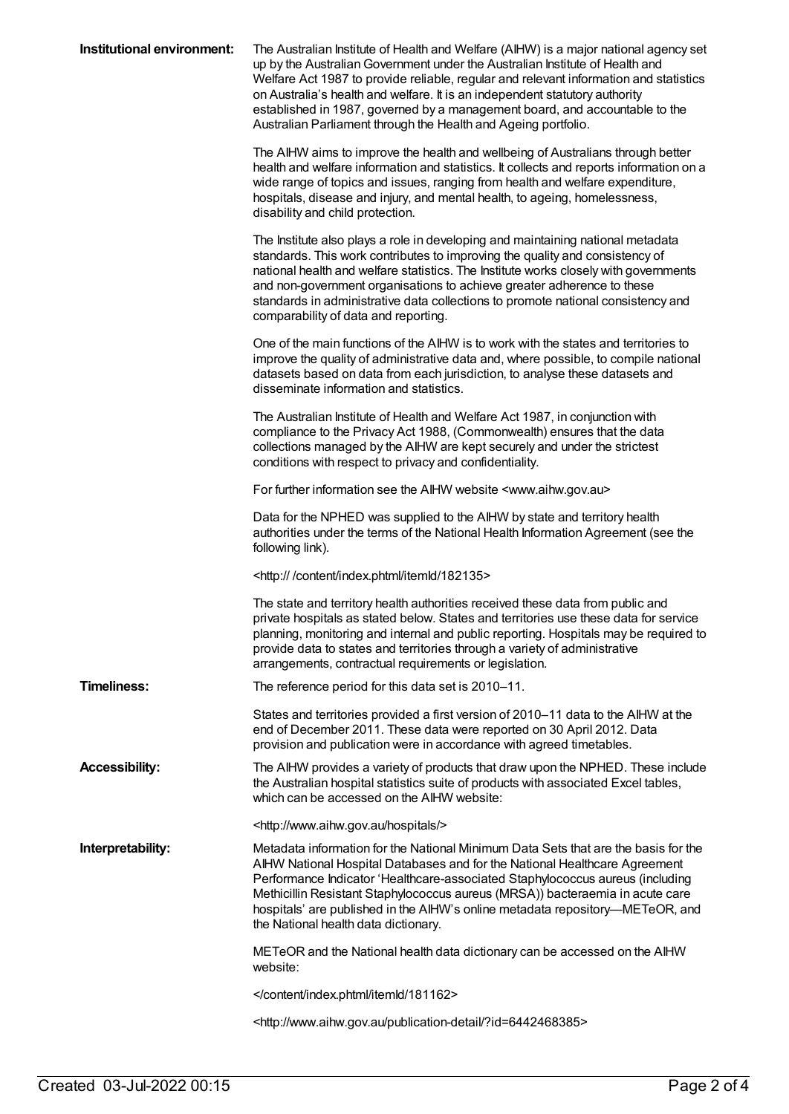| Institutional environment: | The Australian Institute of Health and Welfare (AIHW) is a major national agency set<br>up by the Australian Government under the Australian Institute of Health and<br>Welfare Act 1987 to provide reliable, regular and relevant information and statistics<br>on Australia's health and welfare. It is an independent statutory authority<br>established in 1987, governed by a management board, and accountable to the<br>Australian Parliament through the Health and Ageing portfolio. |
|----------------------------|-----------------------------------------------------------------------------------------------------------------------------------------------------------------------------------------------------------------------------------------------------------------------------------------------------------------------------------------------------------------------------------------------------------------------------------------------------------------------------------------------|
|                            | The AIHW aims to improve the health and wellbeing of Australians through better<br>health and welfare information and statistics. It collects and reports information on a<br>wide range of topics and issues, ranging from health and welfare expenditure,<br>hospitals, disease and injury, and mental health, to ageing, homelessness,<br>disability and child protection.                                                                                                                 |
|                            | The Institute also plays a role in developing and maintaining national metadata<br>standards. This work contributes to improving the quality and consistency of<br>national health and welfare statistics. The Institute works closely with governments<br>and non-government organisations to achieve greater adherence to these<br>standards in administrative data collections to promote national consistency and<br>comparability of data and reporting.                                 |
|                            | One of the main functions of the AIHW is to work with the states and territories to<br>improve the quality of administrative data and, where possible, to compile national<br>datasets based on data from each jurisdiction, to analyse these datasets and<br>disseminate information and statistics.                                                                                                                                                                                         |
|                            | The Australian Institute of Health and Welfare Act 1987, in conjunction with<br>compliance to the Privacy Act 1988, (Commonwealth) ensures that the data<br>collections managed by the AIHW are kept securely and under the strictest<br>conditions with respect to privacy and confidentiality.                                                                                                                                                                                              |
|                            | For further information see the AIHW website <www.aihw.gov.au></www.aihw.gov.au>                                                                                                                                                                                                                                                                                                                                                                                                              |
|                            | Data for the NPHED was supplied to the AIHW by state and territory health<br>authorities under the terms of the National Health Information Agreement (see the<br>following link).                                                                                                                                                                                                                                                                                                            |
|                            | <http: 182135="" content="" index.phtml="" itemld=""></http:>                                                                                                                                                                                                                                                                                                                                                                                                                                 |
|                            | The state and territory health authorities received these data from public and<br>private hospitals as stated below. States and territories use these data for service<br>planning, monitoring and internal and public reporting. Hospitals may be required to<br>provide data to states and territories through a variety of administrative<br>arrangements, contractual requirements or legislation.                                                                                        |
| <b>Timeliness:</b>         | The reference period for this data set is 2010-11.                                                                                                                                                                                                                                                                                                                                                                                                                                            |
|                            | States and territories provided a first version of 2010-11 data to the AIHW at the<br>end of December 2011. These data were reported on 30 April 2012. Data<br>provision and publication were in accordance with agreed timetables.                                                                                                                                                                                                                                                           |
| <b>Accessibility:</b>      | The AIHW provides a variety of products that draw upon the NPHED. These include<br>the Australian hospital statistics suite of products with associated Excel tables,<br>which can be accessed on the AIHW website:                                                                                                                                                                                                                                                                           |
|                            | <http: hospitals="" www.aihw.gov.au=""></http:>                                                                                                                                                                                                                                                                                                                                                                                                                                               |
| Interpretability:          | Metadata information for the National Minimum Data Sets that are the basis for the<br>AIHW National Hospital Databases and for the National Healthcare Agreement<br>Performance Indicator 'Healthcare-associated Staphylococcus aureus (including<br>Methicillin Resistant Staphylococcus aureus (MRSA)) bacteraemia in acute care<br>hospitals' are published in the AIHW's online metadata repository-METeOR, and<br>the National health data dictionary.                                   |
|                            | METeOR and the National health data dictionary can be accessed on the AIHW<br>website:                                                                                                                                                                                                                                                                                                                                                                                                        |
|                            |                                                                                                                                                                                                                                                                                                                                                                                                                                                                                               |
|                            | <http: ?id="6442468385" publication-detail="" www.aihw.gov.au=""></http:>                                                                                                                                                                                                                                                                                                                                                                                                                     |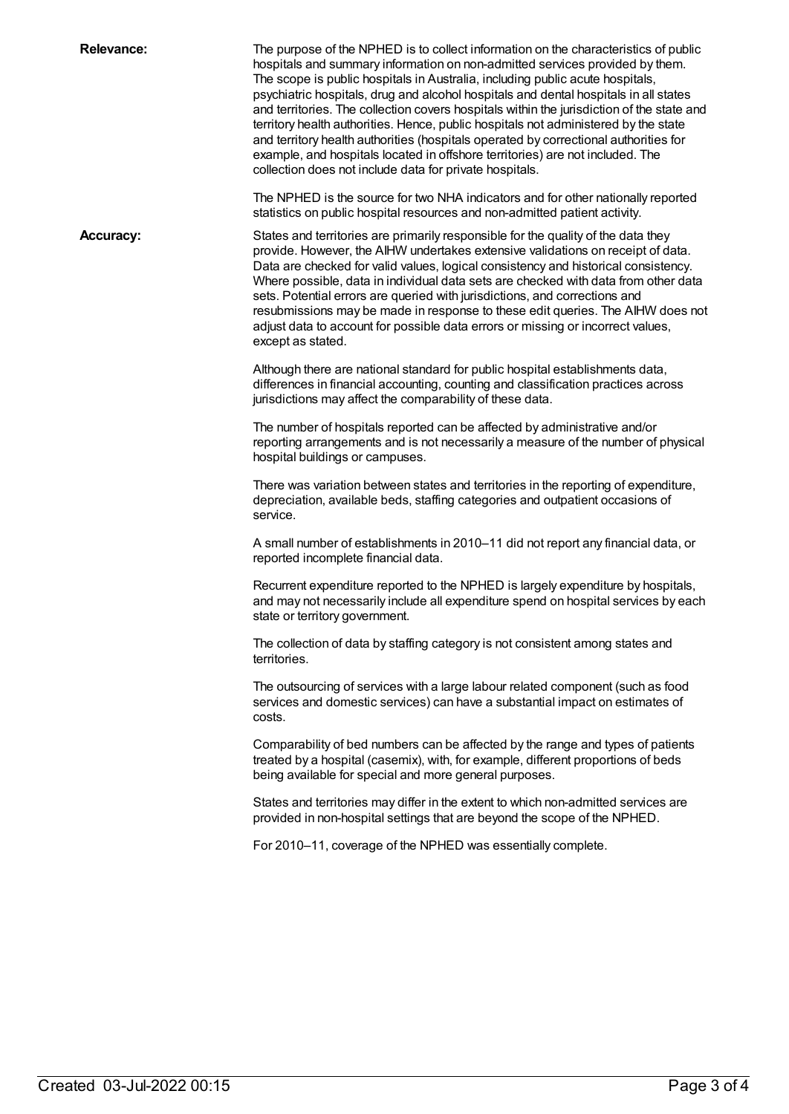| <b>Relevance:</b> | The purpose of the NPHED is to collect information on the characteristics of public<br>hospitals and summary information on non-admitted services provided by them.<br>The scope is public hospitals in Australia, including public acute hospitals,<br>psychiatric hospitals, drug and alcohol hospitals and dental hospitals in all states<br>and territories. The collection covers hospitals within the jurisdiction of the state and<br>territory health authorities. Hence, public hospitals not administered by the state<br>and territory health authorities (hospitals operated by correctional authorities for<br>example, and hospitals located in offshore territories) are not included. The<br>collection does not include data for private hospitals. |
|-------------------|----------------------------------------------------------------------------------------------------------------------------------------------------------------------------------------------------------------------------------------------------------------------------------------------------------------------------------------------------------------------------------------------------------------------------------------------------------------------------------------------------------------------------------------------------------------------------------------------------------------------------------------------------------------------------------------------------------------------------------------------------------------------|
|                   | The NPHED is the source for two NHA indicators and for other nationally reported<br>statistics on public hospital resources and non-admitted patient activity.                                                                                                                                                                                                                                                                                                                                                                                                                                                                                                                                                                                                       |
| <b>Accuracy:</b>  | States and territories are primarily responsible for the quality of the data they<br>provide. However, the AIHW undertakes extensive validations on receipt of data.<br>Data are checked for valid values, logical consistency and historical consistency.<br>Where possible, data in individual data sets are checked with data from other data<br>sets. Potential errors are queried with jurisdictions, and corrections and<br>resubmissions may be made in response to these edit queries. The AIHW does not<br>adjust data to account for possible data errors or missing or incorrect values,<br>except as stated.                                                                                                                                             |
|                   | Although there are national standard for public hospital establishments data,<br>differences in financial accounting, counting and classification practices across<br>jurisdictions may affect the comparability of these data.                                                                                                                                                                                                                                                                                                                                                                                                                                                                                                                                      |
|                   | The number of hospitals reported can be affected by administrative and/or<br>reporting arrangements and is not necessarily a measure of the number of physical<br>hospital buildings or campuses.                                                                                                                                                                                                                                                                                                                                                                                                                                                                                                                                                                    |
|                   | There was variation between states and territories in the reporting of expenditure,<br>depreciation, available beds, staffing categories and outpatient occasions of<br>service.                                                                                                                                                                                                                                                                                                                                                                                                                                                                                                                                                                                     |
|                   | A small number of establishments in 2010–11 did not report any financial data, or<br>reported incomplete financial data.                                                                                                                                                                                                                                                                                                                                                                                                                                                                                                                                                                                                                                             |
|                   | Recurrent expenditure reported to the NPHED is largely expenditure by hospitals,<br>and may not necessarily include all expenditure spend on hospital services by each<br>state or territory government.                                                                                                                                                                                                                                                                                                                                                                                                                                                                                                                                                             |
|                   | The collection of data by staffing category is not consistent among states and<br>territories.                                                                                                                                                                                                                                                                                                                                                                                                                                                                                                                                                                                                                                                                       |
|                   | The outsourcing of services with a large labour related component (such as food<br>services and domestic services) can have a substantial impact on estimates of<br>costs.                                                                                                                                                                                                                                                                                                                                                                                                                                                                                                                                                                                           |
|                   | Comparability of bed numbers can be affected by the range and types of patients<br>treated by a hospital (casemix), with, for example, different proportions of beds<br>being available for special and more general purposes.                                                                                                                                                                                                                                                                                                                                                                                                                                                                                                                                       |
|                   | States and territories may differ in the extent to which non-admitted services are<br>provided in non-hospital settings that are beyond the scope of the NPHED.                                                                                                                                                                                                                                                                                                                                                                                                                                                                                                                                                                                                      |
|                   | For 2010-11, coverage of the NPHED was essentially complete.                                                                                                                                                                                                                                                                                                                                                                                                                                                                                                                                                                                                                                                                                                         |
|                   |                                                                                                                                                                                                                                                                                                                                                                                                                                                                                                                                                                                                                                                                                                                                                                      |
|                   |                                                                                                                                                                                                                                                                                                                                                                                                                                                                                                                                                                                                                                                                                                                                                                      |